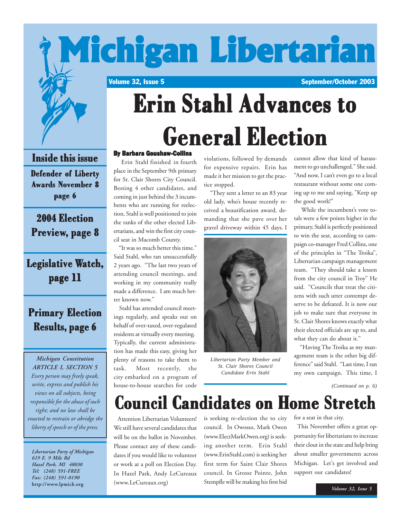

#### **Inside this issue Inside this issue**

**Defender of Liberty Defender of Liberty Awards November 8 page 6**

**2004 Election 2004 Election Preview, page 8 , page** 

### **Legislative Watch, page 11 page 11**

### **Primary Election Primary Election Results, page 6**

*Michigan Constitution ARTICLE I, SECTION 5 Every person may freely speak, write, express and publish his views on all subjects, being responsible for the abuse of such right; and no law shall be enacted to restrain or abridge the liberty of speech or of the press.*

*Libertarian Party of Michigan 619 E. 9 Mile Rd Hazel Park, MI 48030 Tel: (248) 591-FREE Fax: (248) 591-0190* **http://www.lpmich.org**

# **General Election General Election General Election**

#### By Barbara Goushaw-Collins

 Erin Stahl finished in fourth place in the September 9th primary for St. Clair Shores City Council. Besting 4 other candidates, and coming in just behind the 3 incumbents who are running for reelection, Stahl is well positioned to join the ranks of the other elected Libertarians, and win the first city council seat in Macomb County.

 "It was so much better this time." Said Stahl, who ran unsuccessfully 2 years ago. "The last two years of attending council meetings, and working in my community really made a difference. I am much better known now."

 Stahl has attended council meetings regularly, and speaks out on behalf of over-taxed, over-regulated residents at virtually every meeting. Typically, the current administration has made this easy, giving her plenty of reasons to take them to task. Most recently, the city embarked on a program of house-to-house searches for code

violations, followed by demands for expensive repairs. Erin has made it her mission to get the practice stopped.

 "They sent a letter to an 83 year old lady, who's house recently received a beautification award, demanding that she pave over her gravel driveway within 45 days. I



*Libertarian Party Member and St. Clair Shores Council Candidate Erin Stahl*

cannot allow that kind of harassment to go unchallenged." She said. "And now, I can't even go to a local restaurant without some one coming up to me and saying, "Keep up the good work!"

 While the incumbent's vote totals were a few points higher in the primary, Stahl is perfectly positioned to win the seat, according to campaign co-manager Fred Collins, one of the principles in "The Troika", Libertarian campaign management team. "They should take a lesson from the city council in Troy" He said. "Councils that treat the citizens with such utter contempt deserve to be defeated. It is now our job to make sure that everyone in St. Clair Shores knows exactly what their elected officials are up to, and what they can do about it."

 "Having The Troika as my management team is the other big difference" said Stahl. "Last time, I ran my own campaign. This time, I

*(Continued on p. 6)*

### **Council Candidates on Home Stretch**

 Attention Libertarian Volunteers! We still have several candidates that will be on the ballot in November. Please contact any of these candidates if you would like to volunteer or work at a poll on Election Day. In Hazel Park, Andy LeCureaux (www.LeCureaux.org)

is seeking re-election the to city council. In Owosso, Mark Owen (www.ElectMarkOwen.org) is seeking another term. Erin Stahl (www.ErinStahl.com) is seeking her first term for Saint Clair Shores council. In Grosse Pointe, John Stempfle will be making his first bid

for a seat in that city.

 This November offers a great opportunity for libertarians to increase their clout in the state and help bring about smaller governments across Michigan. Let's get involved and support our candidates!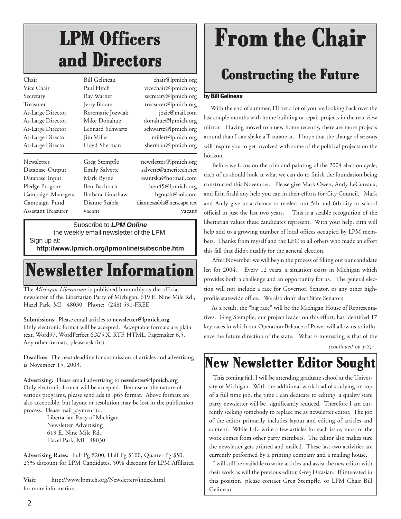# **LPM Officers LPM Officers LPM Officers and Directors and Directors and Directors**

| Chair               | Bill Gelineau         | chair@lpmich.org          |
|---------------------|-----------------------|---------------------------|
| Vice Chair          | Paul Hitch            | vicechair@lpmich.org      |
| Secretary           | Ray Warner            | secretary@lpmich.org      |
| Treasurer           | Jerry Bloom           | treasurer@lpmich.org      |
| At-Large Director   | Rosemarie Jozwiak     | jozie@mail.com            |
| At-Large Director   | Mike Donahue          | donahue@lpmich.org        |
| At-Large Director   | Leonard Schwartz      | schwartz@lpmich.org       |
| At-Large Director   | <b>Jim Miller</b>     | miller@lpmich.org         |
| At-Large Director   | Lloyd Sherman         | sherman@lpmich.org        |
| Newsletter          | Greg Stempfle         | newsletter@lpmich.org     |
| Database Output     | <b>Emily Salvette</b> | salvette@ameritech.net    |
| Database Input      | Mark Byrne            | iwantska@hotmail.com      |
| Pledge Program      | Ben Bachrach          | ben45@lpmich.org          |
| Campaign Managers   | Barbara Goushaw       | bgoush@aol.com            |
| Campaign Fund       | Dianne Szabla         | dianneszabla@netscape.net |
| Assistant Treasurer | vacant                | vacant                    |
|                     |                       |                           |

Subscribe to *LPM Online*

the weekly email newsletter of the LPM.

Sign up at:

**http://www.lpmich.org/lpmonline/subscribe.htm**

### **Newsletter Information Newsletter Information Newsletter Information**

The *Michigan Libertarian* is published bimonthly as the official newsletter of the Libertarian Party of Michigan, 619 E. Nine Mile Rd., Hazel Park, MI 48030. Phone: (248) 591-FREE

**Submissions:** Please email articles to **newsletter@lpmich.org** Only electronic format will be accepted. Acceptable formats are plain text, Word97, WordPerfect 6.X/5.X, RTF, HTML, Pagemaker 6.5. Any other formats, please ask first.

**Deadline:** The next deadline for submission of articles and advertising is November 15, 2003.

**Advertising:** Please email advertising to **newsletter@lpmich.org** Only electronic format will be accepted. Because of the nature of various programs, please send ads in .p65 format. Above formats are also acceptable, but layout or resolution may be lost in the publication process. Please mail payment to:

Libertarian Party of Michigan Newsletter Advertising 619 E. Nine Mile Rd. Hazel Park, MI 48030

**Advertising Rates:** Full Pg \$200, Half Pg \$100, Quarter Pg \$50. 25% discount for LPM Candidates, 50% discount for LPM Affiliates.

**Visit:** http://www.lpmich.org/Newsletters/index.html for more information.

# **From the Chair**

### **Constructing the Future Constructing Future the Future**

#### by Bill Gelineau

 With the end of summer, I'll bet a lot of you are looking back over the last couple months with home building or repair projects in the rear view mirror. Having moved to a new home recently, there are more projects around than I can shake a T-square at. I hope that the change of seasons will inspire you to get involved with some of the political projects on the horizon.

 Before we focus on the trim and painting of the 2004 election cycle, each of us should look at what we can do to finish the foundation being constructed this November. Please give Mark Owen, Andy LeCureaux, and Erin Stahl any help you can in their efforts for City Council. Mark and Andy give us a chance to re-elect our 5th and 6th city or school official in just the last two years. This is a sizable recognition of the libertarian values these candidates represent. With your help, Erin will help add to a growing number of local offices occupied by LPM members. Thanks from myself and the LEC to all others who made an effort this fall that didn't qualify for the general election.

 After November we will begin the process of filling out our candidate list for 2004. Every 12 years, a situation exists in Michigan which provides both a challenge and an opportunity for us. The general election will not include a race for Governor, Senator, or any other highprofile statewide office. We also don't elect State Senators.

 As a result, the "big race" will be the Michigan House of Representatives. Greg Stempfle, our project leader on this effort, has identified 17 key races in which our Operation Balance of Power will allow us to influence the future direction of the state. What is interesting is that of the

*(continued on p.3)*

### **New Newsletter Editor Sought New Newsletter Editor Sought**

 This coming fall, I will be attending graduate school at the University of Michigan. With the additional work load of studying on top of a full time job, the time I can dedicate to editing a quality state party newsletter will be significantly reduced. Therefore I am currently seeking somebody to replace me as newsletter editor. The job of the editor primarily includes layout and editing of articles and content. While I do write a few articles for each issue, most of the work comes from other party members. The editor also makes sure the newsletter gets printed and mailed. These last two activities are currently performed by a printing company and a mailing house.

 I will still be available to write articles and assist the new editor with their work as will the previous editor, Greg Dirasian. If interested in this position, please contact Greg Stempfle, or LPM Chair Bill Gelineau.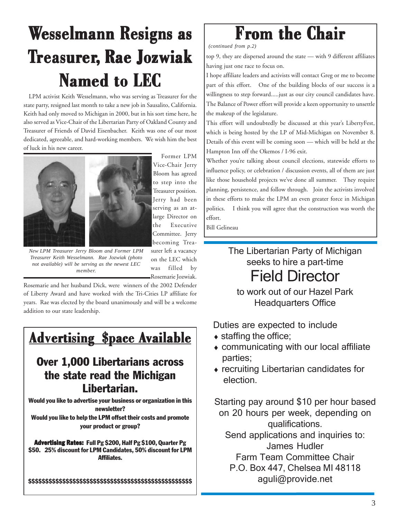# **Wesselmann Resigns as Treasurer, Rae Jozwiak Named to LEC**

 LPM activist Keith Wesselmann, who was serving as Treasurer for the state party, resigned last month to take a new job in Sausalito, California. Keith had only moved to Michigan in 2000, but in his sort time here, he also served as Vice-Chair of the Libertarian Party of Oakland County and Treasurer of Friends of David Eisenbacher. Keith was one of our most dedicated, agreeable, and hard-working members. We wish him the best of luck in his new career.



*New LPM Treasurer Jerry Bloom and Former LPM Treasurer Keith Wesselmann. Rae Jozwiak (photo not available) will be serving as the newest LEC member.*

 Former LPM Vice-Chair Jerry Bloom has agreed to step into the Treasurer position. Jerry had been serving as an atlarge Director on the Executive Committee. Jerry becoming Treasurer left a vacancy on the LEC which was filled by Rosemarie Jozwiak.

Rosemarie and her husband Dick, were winners of the 2002 Defender of Liberty Award and have worked with the Tri-Cities LP affiliate for years. Rae was elected by the board unanimously and will be a welcome addition to our state leadership.

### **Advertising \$pace Available**

#### Over 1,000 Libertarians across the state read the Michigan Libertarian.

Would you like to advertise your business or organization in this newsletter? Would you like to help the LPM offset their costs and promote

your product or group?

**Advertising Rates:** Full Pg \$200, Half Pg \$100, Quarter Pg \$50. 25% discount for LPM Candidates, 50% discount for LPM Affiliates.

\$\$\$\$\$\$\$\$\$\$\$\$\$\$\$\$\$\$\$\$\$\$\$\$\$\$\$\$\$\$\$\$\$\$\$\$\$\$\$\$\$\$\$\$\$\$\$\$

### **From the Chair**

*(continued from p.2)*

top 9, they are dispersed around the state — with 9 different affiliates having just one race to focus on.

I hope affiliate leaders and activists will contact Greg or me to become part of this effort. One of the building blocks of our success is a willingness to step forward.....just as our city council candidates have. The Balance of Power effort will provide a keen opportunity to unsettle the makeup of the legislature.

This effort will undoubtedly be discussed at this year's LibertyFest, which is being hosted by the LP of Mid-Michigan on November 8. Details of this event will be coming soon — which will be held at the Hampton Inn off the Okemos / I-96 exit.

Whether you're talking about council elections, statewide efforts to influence policy, or celebration / discussion events, all of them are just like those household projects we've done all summer. They require planning, persistence, and follow through. Join the activists involved in these efforts to make the LPM an even greater force in Michigan politics. I think you will agree that the construction was worth the effort.

Bill Gelineau

The Libertarian Party of Michigan seeks to hire a part-time Field Director

to work out of our Hazel Park Headquarters Office

Duties are expected to include

- $\bullet$  staffing the office;
- ♦ communicating with our local affiliate parties;
- ♦ recruiting Libertarian candidates for election.

Starting pay around \$10 per hour based on 20 hours per week, depending on qualifications. Send applications and inquiries to: James Hudler Farm Team Committee Chair

P.O. Box 447, Chelsea MI 48118 aguli@provide.net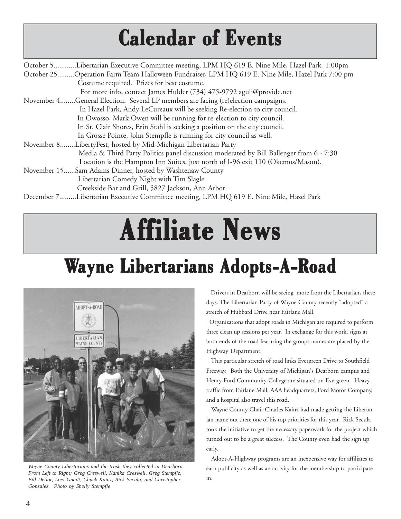# **Calendar of Events Calendar of Events Calendar of Events**

| October 5Libertarian Executive Committee meeting, LPM HQ 619 E. Nine Mile, Hazel Park 1:00pm    |
|-------------------------------------------------------------------------------------------------|
| October 25Operation Farm Team Halloween Fundraiser, LPM HQ 619 E. Nine Mile, Hazel Park 7:00 pm |
| Costume required. Prizes for best costume.                                                      |
| For more info, contact James Hulder (734) 475-9792 aguli@provide.net                            |
| November 4General Election. Several LP members are facing (re)election campaigns.               |
| In Hazel Park, Andy LeCureaux will be seeking Re-election to city council.                      |
| In Owosso, Mark Owen will be running for re-election to city council.                           |
| In St. Clair Shores, Erin Stahl is seeking a position on the city council.                      |
| In Grosse Pointe, John Stempfle is running for city council as well.                            |
| November 8LibertyFest, hosted by Mid-Michigan Libertarian Party                                 |
| Media & Third Party Politics panel discussion moderated by Bill Ballenger from 6 - 7:30         |
| Location is the Hampton Inn Suites, just north of I-96 exit 110 (Okemos/Mason).                 |
| November 15Sam Adams Dinner, hosted by Washtenaw County                                         |
| Libertarian Comedy Night with Tim Slagle                                                        |
| Creekside Bar and Grill, 5827 Jackson, Ann Arbor                                                |
| December 7Libertarian Executive Committee meeting, LPM HQ 619 E. Nine Mile, Hazel Park          |
|                                                                                                 |

# **Affiliate News filiate News filiate**

# **Wayne Libertarians Adopts-A-Road**



*Wayne County Libertarians and the trash they collected in Dearborn. From Left to Right; Greg Creswell, Kanika Creswell, Greg Stempfle, Bill Detlor, Loel Gnadt, Chuck Kainz, Rick Secula, and Christopher Gonzalez. Photo by Shelly Stempfle*

 Drivers in Dearborn will be seeing more from the Libertarians these days. The Libertarian Party of Wayne County recently "adopted" a stretch of Hubbard Drive near Fairlane Mall.

 Organizations that adopt roads in Michigan are required to perform three clean up sessions per year. In exchange for this work, signs at both ends of the road featuring the groups names are placed by the Highway Department.

 This particular stretch of road links Evergreen Drive to Southfield Freeway. Both the University of Michigan's Dearborn campus and Henry Ford Community College are situated on Evergreen. Heavy traffic from Fairlane Mall, AAA headquarters, Ford Motor Company, and a hospital also travel this road.

 Wayne County Chair Charles Kainz had made getting the Libertarian name out there one of his top priorities for this year. Rick Secula took the initiative to get the necessary paperwork for the project which turned out to be a great success. The County even had the sign up early.

 Adopt-A-Highway programs are an inexpensive way for affiliates to earn publicity as well as an activity for the membership to participate in.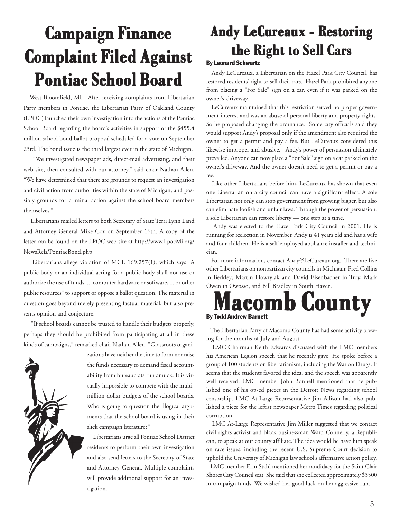# **Campaign Finance Campaign Finance Campaign Finance Complaint Filed Against Complaint Filed Against Complaint Filed Against Pontiac School Board Pontiac School Board Pontiac School Board**

 West Bloomfield, MI—After receiving complaints from Libertarian Party members in Pontiac, the Libertarian Party of Oakland County (LPOC) launched their own investigation into the actions of the Pontiac School Board regarding the board's activities in support of the \$455.4 million school bond ballot proposal scheduled for a vote on September 23rd. The bond issue is the third largest ever in the state of Michigan.

 "We investigated newspaper ads, direct-mail advertising, and their web site, then consulted with our attorney," said chair Nathan Allen. "We have determined that there are grounds to request an investigation and civil action from authorities within the state of Michigan, and possibly grounds for criminal action against the school board members themselves."

 Libertarians mailed letters to both Secretary of State Terri Lynn Land and Attorney General Mike Cox on September 16th. A copy of the letter can be found on the LPOC web site at http://www.LpocMi.org/ NewsRels/PontiacBond.php.

 Libertarians allege violation of MCL 169.257(1), which says "A public body or an individual acting for a public body shall not use or authorize the use of funds, ... computer hardware or software, ... or other public resources" to support or oppose a ballot question. The material in question goes beyond merely presenting factual material, but also presents opinion and conjecture.

 "If school boards cannot be trusted to handle their budgets properly, perhaps they should be prohibited from participating at all in these kinds of campaigns," remarked chair Nathan Allen. "Grassroots organi-



zations have neither the time to form nor raise the funds necessary to demand fiscal accountability from bureaucrats run amuck. It is virtually impossible to compete with the multimillion dollar budgets of the school boards. Who is going to question the illogical arguments that the school board is using in their slick campaign literature?"

 Libertarians urge all Pontiac School District residents to perform their own investigation and also send letters to the Secretary of State and Attorney General. Multiple complaints will provide additional support for an investigation.

### **Andy LeCureaux - Restoring Andy LeCureaux - Restoring Andy LeCureaux - Restoring the Right to Sell Cars the Right to Sell Cars the Right to Sell Cars**

#### By Leonard Schwartz

 Andy LeCureaux, a Libertarian on the Hazel Park City Council, has restored residents' right to sell their cars. Hazel Park prohibited anyone from placing a "For Sale" sign on a car, even if it was parked on the owner's driveway.

 LeCureaux maintained that this restriction served no proper government interest and was an abuse of personal liberty and property rights. So he proposed changing the ordinance. Some city officials said they would support Andy's proposal only if the amendment also required the owner to get a permit and pay a fee. But LeCureaux considered this likewise improper and abusive. Andy's power of persuasion ultimately prevailed. Anyone can now place a "For Sale" sign on a car parked on the owner's driveway. And the owner doesn't need to get a permit or pay a fee.

 Like other Libertarians before him, LeCureaux has shown that even one Libertarian on a city council can have a significant effect. A sole Libertarian not only can stop government from growing bigger, but also can eliminate foolish and unfair laws. Through the power of persuasion, a sole Libertarian can restore liberty — one step at a time.

 Andy was elected to the Hazel Park City Council in 2001. He is running for reelection in November. Andy is 41 years old and has a wife and four children. He is a self-employed appliance installer and technician.

 For more information, contact Andy@LeCureaux.org. There are five other Libertarians on nonpartisan city councils in Michigan: Fred Collins in Berkley; Martin Howrylak and David Eisenbacher in Troy, Mark Owen in Owosso, and Bill Bradley in South Haven.



 The Libertarian Party of Macomb County has had some activity brewing for the months of July and August.

 LMC Chairman Keith Edwards discussed with the LMC members his American Legion speech that he recently gave. He spoke before a group of 100 students on libertarianism, including the War on Drugs. It seems that the students favored the idea, and the speech was apparently well received. LMC member John Bonnell mentioned that he published one of his op-ed pieces in the Detroit News regarding school censorship. LMC At-Large Representative Jim Allison had also published a piece for the leftist newspaper Metro Times regarding political corruption.

 LMC At-Large Representative Jim Miller suggested that we contact civil rights activist and black businessman Ward Connerly, a Republican, to speak at our county affiliate. The idea would be have him speak on race issues, including the recent U.S. Supreme Court decision to uphold the University of Michigan law school's affirmative action policy.

 LMC member Erin Stahl mentioned her candidacy for the Saint Clair Shores City Council seat. She said that she collected approximately \$3500 in campaign funds. We wished her good luck on her aggressive run.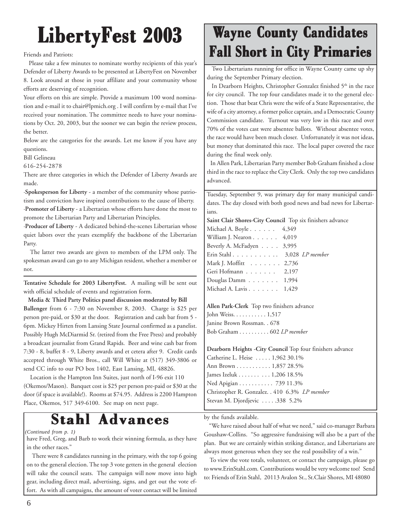Friends and Patriots:

 Please take a few minutes to nominate worthy recipients of this year's Defender of Liberty Awards to be presented at LibertyFest on November 8. Look around at those in your affiliate and your community whose efforts are deserving of recognition.

Your efforts on this are simple. Provide a maximum 100 word nomination and e-mail it to chair@lpmich.org . I will confirm by e-mail that I've received your nomination. The committee needs to have your nominations by Oct. 20, 2003, but the sooner we can begin the review process, the better.

Below are the categories for the awards. Let me know if you have any questions.

Bill Gelineau

616-254-2878

There are three categories in which the Defender of Liberty Awards are made.

·**Spokesperson for Liberty** - a member of the community whose patriotism and conviction have inspired contributions to the cause of liberty. ·**Promoter of Liberty** - a Libertarian whose efforts have done the most to promote the Libertarian Party and Libertarian Principles.

·**Producer of Liberty** - A dedicated behind-the-scenes Libertarian whose quiet labors over the years exemplify the backbone of the Libertarian Party.

 The latter two awards are given to members of the LPM only. The spokesman award can go to any Michigan resident, whether a member or not.

**Tentative Schedule for 2003 LibertyFest.** A mailing will be sent out with official schedule of events and registration form.

 **Media & Third Party Politics panel discussion moderated by Bill Ballenger** from 6 - 7:30 on November 8, 2003. Charge is \$25 per person pre-paid, or \$30 at the door. Registration and cash bar from 5 - 6pm. Mickey Hirten from Lansing State Journal confirmed as a panelist. Possibly Hugh McDiarmid Sr. (retired from the Free Press) and probably a broadcast journalist from Grand Rapids. Beer and wine cash bar from 7:30 - 8, buffet 8 - 9, Liberty awards and et cetera after 9. Credit cards accepted through White Bros., call Will White at (517) 349-3806 or send CC info to our PO box 1402, East Lansing, MI, 48826.

 Location is the Hampton Inn Suites, just north of I-96 exit 110 (Okemos/Mason). Banquet cost is \$25 per person pre-paid or \$30 at the door (if space is available!). Rooms at \$74.95. Address is 2200 Hampton Place, Okemos, 517 349-6100. See map on next page.

### $Stahl$   $Advances$

*(Continued from p. 1)*

have Fred, Greg, and Barb to work their winning formula, as they have in the other races."

 There were 8 candidates running in the primary, with the top 6 going on to the general election. The top 3 vote getters in the general election will take the council seats. The campaign will now move into high gear, including direct mail, advertising, signs, and get out the vote effort. As with all campaigns, the amount of voter contact will be limited

### **Wayne County Candidates Fall ShortyFest 2003 Wayne County Candidates Fall Short in City Primaries**

 Two Libertarians running for office in Wayne County came up shy during the September Primary election.

In Dearborn Heights, Christopher Gonzalez finished 5<sup>th</sup> in the race for city council. The top four candidates made it to the general election. Those that beat Chris were the wife of a State Representative, the wife of a city attorney, a former police captain, and a Democratic County Commission candidate. Turnout was very low in this race and over 70% of the votes cast were absentee ballots. Without absentee votes, the race would have been much closer. Unfortunately it was not ideas, but money that dominated this race. The local paper covered the race during the final week only.

 In Allen Park, Libertarian Party member Bob Graham finished a close third in the race to replace the City Clerk. Only the top two candidates advanced.

Tuesday, September 9, was primary day for many municipal candidates. The day closed with both good news and bad news for Libertarians.

**Saint Clair Shores-City Council** Top six finishers advance

| Michael A. Boyle 4,349                    |  |
|-------------------------------------------|--|
| William J. Nearon $\ldots \ldots$ 4,019   |  |
| Beverly A. McFadyen 3,995                 |  |
| Erin Stahl 3,028 LP member                |  |
| Mark J. Moffitt 2,736                     |  |
| Geri Hofmann 2,197                        |  |
| Douglas Damm $\ldots \ldots \ldots 1,994$ |  |
| Michael A. Lavis 1,429                    |  |
|                                           |  |

**Allen Park-Clerk** Top two finishers advance John Weiss. . . . . . . . . . . 1,517 Janine Brown Rossman. . 678 Bob Graham . . . . . . . . . . 602 *LP member*

**Dearborn Heights -City Council** Top four finishers advance Catherine L. Heise . . . . . 1,962 30.1% Ann Brown . . . . . . . . . . . 1,857 28.5% James Izeluk . . . . . . . . . . 1,206 18.5% Ned Apigian . . . . . . . . . . . 739 11.3% Christopher R. Gonzalez. . 410 6.3% *LP member* Stevan M. Djordjevic . . . . . 338 5.2%

by the funds available.

 "We have raised about half of what we need," said co-manager Barbara Goushaw-Collins. "So aggressive fundraising will also be a part of the plan. But we are certainly within striking distance, and Libertarians are always most generous when they see the real possibility of a win."

 To view the vote totals, volunteer, or contact the campaign, please go to www.ErinStahl.com. Contributions would be very welcome too! Send to: Friends of Erin Stahl, 20113 Avalon St., St.Clair Shores, MI 48080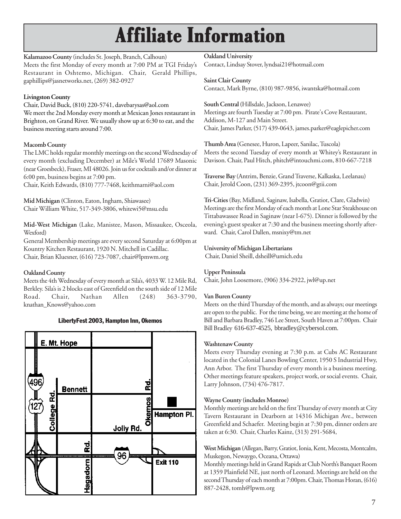# **Affiliate Information Affiliate Information Affiliate**

**Kalamazoo County** (includes St. Joseph, Branch, Calhoun) Meets the first Monday of every month at 7:00 PM at TGI Friday's Restaurant in Oshtemo, Michigan. Chair, Gerald Phillips, gaphillips@jasnetworks.net, (269) 382-0927

#### **Livingston County**

Chair, David Buck, (810) 220-5741, davebarysas@aol.com We meet the 2nd Monday every month at Mexican Jones restaurant in Brighton, on Grand River. We usually show up at 6:30 to eat, and the business meeting starts around 7:00.

#### **Macomb County**

The LMC holds regular monthly meetings on the second Wednesday of every month (excluding December) at Mile's World 17689 Masonic (near Groesbeck), Fraser, MI 48026. Join us for cocktails and/or dinner at 6:00 pm, business begins at 7:00 pm.

Chair, Keith Edwards, (810) 777-7468, keithmarni@aol.com

**Mid Michigan (**Clinton, Eaton, Ingham, Shiawasee) Chair William White, 517-349-3806, whitewi5@msu.edu

**Mid-West Michigan** (Lake, Manistee, Mason, Missaukee, Osceola, Wexford)

General Membership meetings are every second Saturday at 6:00pm at Kountry Kitchen Restaurant, 1920 N. Mitchell in Cadillac. Chair, Brian Kluesner, (616) 723-7087, chair@lpmwm.org

#### **Oakland County**

Meets the 4th Wednesday of every month at Sila's, 4033 W. 12 Mile Rd, Berkley. Sila's is 2 blocks east of Greenfield on the south side of 12 Mile<br>Road. Chair, Nathan Allen (248) 363-3790. Road. Chair, Nathan Allen (248) 363-3790, knathan\_Knows@yahoo.com



#### LibertyFest 2003, Hampton Inn, Okemos

**Oakland University**

Contact, Lindsay Stover, lyndsai21@hotmail.com

**Saint Clair County** Contact, Mark Byrne, (810) 987-9856, iwantska@hotmail.com

**South Central (**Hillsdale, Jackson, Lenawee) Meetings are fourth Tuesday at 7:00 pm. Pirate's Cove Restaurant, Addison, M-127 and Main Street. Chair, James Parker, (517) 439-0643, james.parker@eaglepicher.com

**Thumb Area (**Genesee, Huron, Lapeer, Sanilac, Tuscola) Meets the second Tuesday of every month at Whitey's Restaurant in Davison. Chair, Paul Hitch, phitch@intouchmi.com, 810-667-7218

**Traverse Bay** (Antrim, Benzie, Grand Traverse, Kalkaska, Leelanau) Chair, Jerold Coon, (231) 369-2395, jtcoon@gtii.com

**Tri-Cities** (Bay, Midland, Saginaw, Isabella, Gratiot, Clare, Gladwin) Meetings are the first Monday of each month at Lone Star Steakhouse on Tittabawassee Road in Saginaw (near I-675). Dinner is followed by the evening's guest speaker at 7:30 and the business meeting shortly afterward. Chair, Carol Dallen, msnixy@tm.net

#### **University of Michigan Libertarians**

Chair, Daniel Sheill, dsheill@umich.edu

#### **Upper Peninsula**

Chair, John Loosemore, (906) 334-2922, jwl@up.net

#### **Van Buren County**

Meets on the third Thursday of the month, and as always; our meetings are open to the public. For the time being, we are meeting at the home of Bill and Barbara Bradley, 746 Lee Street, South Haven at 7:00pm. Chair Bill Bradley 616-637-4525, bbradley@cybersol.com.

#### **Washtenaw County**

Meets every Thursday evening at 7:30 p.m. at Cubs AC Restaurant located in the Colonial Lanes Bowling Center, 1950 S Industrial Hwy, Ann Arbor. The first Thursday of every month is a business meeting. Other meetings feature speakers, project work, or social events. Chair, Larry Johnson, (734) 476-7817.

#### **Wayne County (includes Monroe)**

Monthly meetings are held on the first Thursday of every month at City Tavern Restaurant in Dearborn at 14316 Michigan Ave., between Greenfield and Schaefer. Meeting begin at 7:30 pm, dinner orders are taken at 6:30. Chair, Charles Kainz, (313) 291-5684,

**West Michigan** (Allegan, Barry, Gratiot, Ionia, Kent, Mecosta, Montcalm, Muskegon, Newaygo, Oceana, Ottawa)

Monthly meetings held in Grand Rapids at Club North's Banquet Room at 1359 Plainfield NE, just north of Leonard. Meetings are held on the second Thursday of each month at 7:00pm. Chair, Thomas Horan, (616) 887-2428, tomh@lpwm.org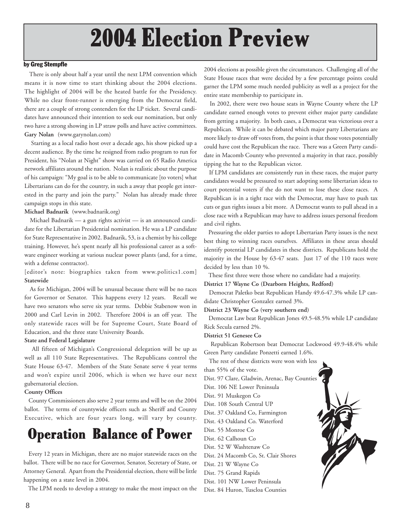# **2004 Election Preview**

#### by Greg Stempfle

 There is only about half a year until the next LPM convention which means it is now time to start thinking about the 2004 elections. The highlight of 2004 will be the heated battle for the Presidency. While no clear front-runner is emerging from the Democrat field, there are a couple of strong contenders for the LP ticket. Several candidates have announced their intention to seek our nomination, but only two have a strong showing in LP straw polls and have active committees. **Gary Nolan** (www.garynolan.com)

 Starting as a local radio host over a decade ago, his show picked up a decent audience. By the time he resigned from radio program to run for President, his "Nolan at Night" show was carried on 65 Radio America network affiliates around the nation. Nolan is realistic about the purpose of his campaign: "My goal is to be able to communicate [to voters] what Libertarians can do for the country, in such a away that people get interested in the party and join the party." Nolan has already made three campaign stops in this state.

**Michael Badnarik** (www.badnarik.org)

 Michael Badnarik — a gun rights activist — is an announced candidate for the Libertarian Presidential nomination. He was a LP candidate for State Representative in 2002. Badnarik, 53, is a chemist by his college training. However, he's spent nearly all his professional career as a software engineer working at various nuclear power plants (and, for a time, with a defense contractor).

[editor's note: biographies taken from www.politics1.com] **Statewide**

 As for Michigan, 2004 will be unusual because there will be no races for Governor or Senator. This happens every 12 years. Recall we have two senators who serve six year terms. Debbie Stabenow won in 2000 and Carl Levin in 2002. Therefore 2004 is an off year. The only statewide races will be for Supreme Court, State Board of Education, and the three state University Boards.

#### **State and Federal Legislature**

 All fifteen of Michigan's Congressional delegation will be up as well as all 110 State Representatives. The Republicans control the State House 63-47. Members of the State Senate serve 4 year terms and won't expire until 2006, which is when we have our next gubernatorial election.

#### **County Offices**

 County Commissioners also serve 2 year terms and will be on the 2004 ballot. The terms of countywide officers such as Sheriff and County Executive, which are four years long, will vary by county.

### **Operation Balance of Power**

 Every 12 years in Michigan, there are no major statewide races on the ballot. There will be no race for Governor, Senator, Secretary of State, or Attorney General. Apart from the Presidential election, there will be little happening on a state level in 2004.

The LPM needs to develop a strategy to make the most impact on the

2004 elections as possible given the circumstances. Challenging all of the State House races that were decided by a few percentage points could garner the LPM some much needed publicity as well as a project for the entire state membership to participate in.

 In 2002, there were two house seats in Wayne County where the LP candidate earned enough votes to prevent either major party candidate from getting a majority. In both cases, a Democrat was victorious over a Republican. While it can be debated which major party Libertarians are more likely to draw off votes from, the point is that those votes potentially could have cost the Republican the race. There was a Green Party candidate in Macomb County who prevented a majority in that race, possibly tipping the hat to the Republican victor.

 If LPM candidates are consistently run in these races, the major party candidates would be pressured to start adopting some libertarian ideas to court potential voters if the do not want to lose these close races. A Republican is in a tight race with the Democrat, may have to push tax cuts or gun rights issues a bit more. A Democrat wants to pull ahead in a close race with a Republican may have to address issues personal freedom and civil rights.

 Pressuring the older parties to adopt Libertarian Party issues is the next best thing to winning races ourselves. Affiliates in these areas should identify potential LP candidates in these districts. Republicans hold the majority in the House by 63-47 seats. Just 17 of the 110 races were decided by less than 10 %.

These first three were those where no candidate had a majority.

**District 17 Wayne Co (Dearborn Heights, Redford)**

 Democrat Paletko beat Republican Handy 49.6-47.3% while LP candidate Christopher Gonzalez earned 3%.

**District 23 Wayne Co (very southern end)**

 Democrat Law beat Republican Jones 49.5-48.5% while LP candidate Rick Secula earned 2%.

#### **District 51 Genesee Co**

 Republican Robertson beat Democrat Lockwood 49.9-48.4% while Green Party candidate Ponzetti earned 1.6%.

The rest of these districts were won with less

than 55% of the vote.

- Dist. 97 Clare, Gladwin, Arenac, Bay Counties
- Dist. 106 NE Lower Peninsula
- Dist. 91 Muskegon Co
- Dist. 108 South Central UP
- Dist. 37 Oakland Co, Farmington
- Dist. 43 Oakland Co. Waterford
- Dist. 55 Monroe Co
- Dist. 62 Calhoun Co
- Dist. 52 W Washtenaw Co
- Dist. 24 Macomb Co, St. Clair Shores
- Dist. 21 W Wayne Co
- Dist. 75 Grand Rapids
- Dist. 101 NW Lower Peninsula

Dist. 84 Huron, Tuscloa Counties

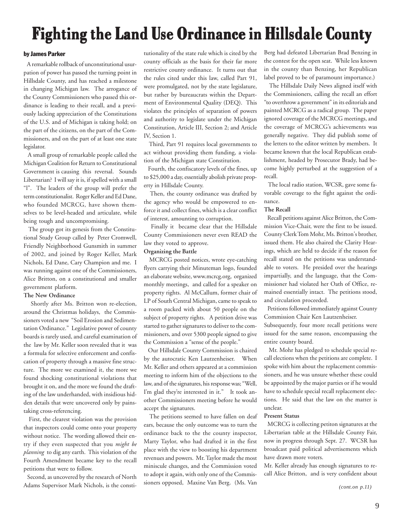# **Fighting the Land Use Ordinance in Hillsdale County Fighting the Land Use Ordinance in Hillsdale County Fighting the Land Use Ordinance in Hillsdale County**

#### by James Parker

 A remarkable rollback of unconstitutional usurpation of power has passed the turning point in Hillsdale County, and has reached a milestone in changing Michigan law. The arrogance of the County Commissioners who passed this ordinance is leading to their recall, and a previously lacking appreciation of the Constitutions of the U.S. and of Michigan is taking hold; on the part of the citizens, on the part of the Commissioners, and on the part of at least one state legislator.

 A small group of remarkable people called the Michigan Coalition for Return to Constitutional Government is causing this reversal. Sounds Libertarian? I will say it is, if spelled with a small "l". The leaders of the group will prefer the term constitutionalist. Roger Keller and Ed Dane, who founded MCRCG, have shown themselves to be level-headed and articulate, while being tough and uncompromising.

 The group got its genesis from the Constitutional Study Group called by Peter Cromwell, Friendly Neighborhood Gunsmith in summer of 2002, and joined by Roger Keller, Mark Nichols, Ed Dane, Cary Champion and me. I was running against one of the Commissioners, Alice Britton, on a constitutional and smaller government platform.

#### **The New Ordinance**

 Shortly after Ms. Britton won re-election, around the Christmas holidays, the Commissioners voted a new "Soil Erosion and Sedimentation Ordinance." Legislative power of county boards is rarely used, and careful examination of the law by Mr. Keller soon revealed that it was a formula for selective enforcement and confiscation of property through a massive fine structure. The more we examined it, the more we found shocking constitutional violations that brought it on, and the more we found the drafting of the law underhanded, with insidious hidden details that were uncovered only by painstaking cross-referencing.

 First, the clearest violation was the provision that inspectors could come onto your property without notice. The wording allowed their entry if they even suspected that you *might be planning* to dig any earth. This violation of the Fourth Amendment became key to the recall petitions that were to follow.

 Second, as uncovered by the research of North Adams Supervisor Mark Nichols, is the constitutionality of the state rule which is cited by the county officials as the basis for their far more restrictive county ordinance. It turns out that the rules cited under this law, called Part 91, were promulgated, not by the state legislature, but rather by bureaucrats within the Department of Environmental Quality (DEQ). This violates the principles of separation of powers and authority to legislate under the Michigan Constitution, Article III, Section 2; and Article IV, Section 1.

 Third, Part 91 requires local governments to act without providing them funding, a violation of the Michigan state Constitution.

 Fourth, the confiscatory levels of the fines, up to \$25,000 a day, essentially abolish private property in Hillsdale County.

 Then, the county ordinance was drafted by the agency who would be empowered to enforce it and collect fines, which is a clear conflict of interest, amounting to corruption.

 Finally it became clear that the Hillsdale County Commissioners never even READ the law they voted to approve.

#### **Organizing the Battle**

 MCRCG posted notices, wrote eye-catching flyers carrying their Minuteman logo, founded an elaborate website, www.mcrcg.org, organized monthly meetings, and called for a speaker on property rights. Al McCallum, former chair of LP of South Central Michigan, came to speak to a room packed with about 50 people on the subject of property rights. A petition drive was started to gather signatures to deliver to the commissioners, and over 5300 people signed to give the Commission a "sense of the people."

 Our Hillsdale County Commission is chaired by the autocratic Ken Lautzenheiser. When Mr. Keller and others appeared at a commission meeting to inform him of the objections to the law, and of the signatures, his response was; "Well, I'm glad they're interested in it." It took another Commissioners meeting before he would accept the signatures.

 The petitions seemed to have fallen on deaf ears, because the only outcome was to turn the ordinance back to the the county inspector, Marty Taylor, who had drafted it in the first place with the view to boosting his department revenues and powers. Mr. Taylor made the most miniscule changes, and the Commission voted to adopt it again, with only one of the Commissioners opposed, Maxine Van Berg. (Ms. Van Berg had defeated Libertarian Brad Benzing in the contest for the open seat. While less known in the county than Benzing, her Republican label proved to be of paramount importance.)

 The Hillsdale Daily News aligned itself with the Commissioners, calling the recall an effort "to overthrow a government" in its editorials and painted MCRCG as a radical group. The paper ignored coverage of the MCRCG meetings, and the coverage of MCRCG's achievements was generally negative. They did publish some of the letters to the editor written by members. It became known that the local Republican establishment, headed by Prosecutor Brady, had become highly perturbed at the suggestion of a recall.

 The local radio station, WCSR, gave some favorable coverage to the fight against the ordinance.

#### **The Recall**

 Recall petitions against Alice Britton, the Commission Vice-Chair, were the first to be issued. County Clerk Tom Mohr, Ms. Britton's brother, issued them. He also chaired the Clarity Hearings, which are held to decide if the reason for recall stated on the petitions was understandable to voters. He presided over the hearings impartially, and the language, that the Commissioner had violated her Oath of Office, remained essentially intact. The petitions stood, and circulation proceeded.

 Petitions followed immediately against County Commission Chair Ken Lautzenheiser. Subsequently, four more recall petitions were issued for the same reason, encompassing the entire county board.

 Mr. Mohr has pledged to schedule special recall elections when the petitions are complete. I spoke with him about the replacement commissioners, and he was unsure whether these could be appointed by the major parties or if he would have to schedule special recall replacement elections. He said that the law on the matter is unclear.

#### **Present Status**

 MCRCG is collecting petiton signatures at the Libertarian table at the Hillsdale County Fair, now in progress through Sept. 27. WCSR has broadcast paid political advertisements which have drawn more voters.

Mr. Keller already has enough signatures to recall Alice Britton, and is very confident about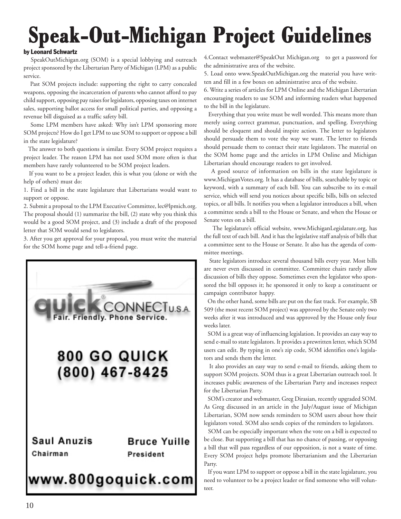# **Speak-Out-Michigan Project Guidelines Speak-Out-Michigan Project Guidelines Speak-Out-Michigan Project Guidelines**

#### by Leonard Schwartz

 SpeakOutMichigan.org (SOM) is a special lobbying and outreach project sponsored by the Libertarian Party of Michigan (LPM) as a public service.

 Past SOM projects include: supporting the right to carry concealed weapons, opposing the incarceration of parents who cannot afford to pay child support, opposing pay raises for legislators, opposing taxes on internet sales, supporting ballot access for small political parties, and opposing a revenue bill disguised as a traffic safety bill.

 Some LPM members have asked: Why isn't LPM sponsoring more SOM projects? How do I get LPM to use SOM to support or oppose a bill in the state legislature?

 The answer to both questions is similar. Every SOM project requires a project leader. The reason LPM has not used SOM more often is that members have rarely volunteered to be SOM project leaders.

 If you want to be a project leader, this is what you (alone or with the help of others) must do:

1. Find a bill in the state legislature that Libertarians would want to support or oppose.

2. Submit a proposal to the LPM Executive Committee, lec@lpmich.org. The proposal should (1) summarize the bill, (2) state why you think this would be a good SOM project, and (3) include a draft of the proposed letter that SOM would send to legislators.

3. After you get approval for your proposal, you must write the material for the SOM home page and tell-a-friend page.



4.Contact webmaster@SpeakOut Michigan.org to get a password for the administrative area of the website.

5. Load onto www.SpeakOutMichigan.org the material you have written and fill in a few boxes on administrative area of the website.

6. Write a series of articles for LPM Online and the Michigan Libertarian encouraging readers to use SOM and informing readers what happened to the bill in the legislature.

 Everything that you write must be well worded. This means more than merely using correct grammar, punctuation, and spelling. Everything should be eloquent and should inspire action. The letter to legislators should persuade them to vote the way we want. The letter to friends should persuade them to contact their state legislators. The material on the SOM home page and the articles in LPM Online and Michigan Libertarian should encourage readers to get involved.

 A good source of information on bills in the state legislature is www.MichiganVotes.org. It has a database of bills, searchable by topic or keyword, with a summary of each bill. You can subscribe to its e-mail service, which will send you notices about specific bills, bills on selected topics, or all bills. It notifies you when a legislator introduces a bill, when a committee sends a bill to the House or Senate, and when the House or Senate votes on a bill.

 The legislature's official website, www.MichiganLegislature.org, has the full text of each bill. And it has the legislative staff analysis of bills that a committee sent to the House or Senate. It also has the agenda of committee meetings.

 State legislators introduce several thousand bills every year. Most bills are never even discussed in committee. Committee chairs rarely allow discussion of bills they oppose. Sometimes even the legislator who sponsored the bill opposes it; he sponsored it only to keep a constituent or campaign contributor happy.

 On the other hand, some bills are put on the fast track. For example, SB 509 (the most recent SOM project) was approved by the Senate only two weeks after it was introduced and was approved by the House only four weeks later.

 SOM is a great way of influencing legislation. It provides an easy way to send e-mail to state legislators. It provides a prewritten letter, which SOM users can edit. By typing in one's zip code, SOM identifies one's legislators and sends them the letter.

 It also provides an easy way to send e-mail to friends, asking them to support SOM projects. SOM thus is a great Libertarian outreach tool. It increases public awareness of the Libertarian Party and increases respect for the Libertarian Party.

 SOM's creator and webmaster, Greg Dirasian, recently upgraded SOM. As Greg discussed in an article in the July/August issue of Michigan Libertarian, SOM now sends reminders to SOM users about how their legislators voted. SOM also sends copies of the reminders to legislators.

 SOM can be especially important when the vote on a bill is expected to be close. But supporting a bill that has no chance of passing, or opposing a bill that will pass regardless of our opposition, is not a waste of time. Every SOM project helps promote libertarianism and the Libertarian Party.

 If you want LPM to support or oppose a bill in the state legislature, you need to volunteer to be a project leader or find someone who will volunteer.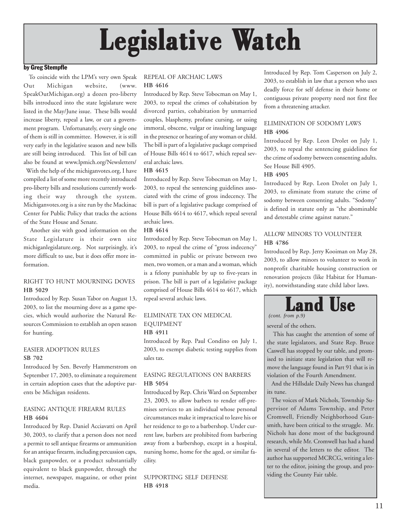# Legislative Watch

#### by Greg Stempfle

 To coincide with the LPM's very own Speak Out Michigan website, (www. SpeakOutMichigan.org) a dozen pro-liberty bills introduced into the state legislature were listed in the May/June issue. These bills would increase liberty, repeal a law, or cut a government program. Unfortunately, every single one of them is still in committee. However, it is still very early in the legislative season and new bills are still being introduced. This list of bill can also be found at www.lpmich.org/Newsletters/

 With the help of the michiganvotes.org, I have compiled a list of some more recently introduced pro-liberty bills and resolutions currently working their way through the system. Michiganvotes.org is a site run by the Mackinac Center for Public Policy that tracks the actions of the State House and Senate.

 Another site with good information on the State Legislature is their own site michiganlegislature.org. Not surprisingly, it's more difficult to use, but it does offer more information.

#### RIGHT TO HUNT MOURNING DOVES **HB 5029**

Introduced by Rep. Susan Tabor on August 13, 2003, to list the mourning dove as a game species, which would authorize the Natural Resources Commission to establish an open season for hunting.

#### EASIER ADOPTION RULES **SB 702**

Introduced by Sen. Beverly Hammerstrom on September 17, 2003, to eliminate a requirement in certain adoption cases that the adoptive parents be Michigan residents.

#### EASING ANTIQUE FIREARM RULES **HB 4604**

Introduced by Rep. Daniel Acciavatti on April 30, 2003, to clarify that a person does not need a permit to sell antique firearms or ammunition for an antique firearm, including percussion caps, black gunpowder, or a product substantially equivalent to black gunpowder, through the internet, newspaper, magazine, or other print media.

#### REPEAL OF ARCHAIC LAWS **HB 4616**

Introduced by Rep. Steve Tobocman on May 1, 2003, to repeal the crimes of cohabitation by divorced parties, cohabitation by unmarried couples, blasphemy, profane cursing, or using immoral, obscene, vulgar or insulting language in the presence or hearing of any woman or child. The bill is part of a legislative package comprised of House Bills 4614 to 4617, which repeal several archaic laws.

#### **HB 4615**

Introduced by Rep. Steve Tobocman on May 1, 2003, to repeal the sentencing guidelines associated with the crime of gross indecency. The bill is part of a legislative package comprised of House Bills 4614 to 4617, which repeal several archaic laws.

#### **HB 4614**

Introduced by Rep. Steve Tobocman on May 1, 2003, to repeal the crime of "gross indecency" committed in public or private between two men, two women, or a man and a woman, which is a felony punishable by up to five-years in prison. The bill is part of a legislative package comprised of House Bills 4614 to 4617, which repeal several archaic laws.

#### ELIMINATE TAX ON MEDICAL EQUIPMENT **HB 4911**

Introduced by Rep. Paul Condino on July 1, 2003, to exempt diabetic testing supplies from sales tax.

#### EASING REGULATIONS ON BARBERS **HB 5054**

Introduced by Rep. Chris Ward on September 23, 2003, to allow barbers to render off-premises services to an individual whose personal circumstances make it impractical to leave his or her residence to go to a barbershop. Under current law, barbers are prohibited from barbering away from a barbershop, except in a hospital, nursing home, home for the aged, or similar facility.

SUPPORTING SELF DEFENSE **HB 4918**

Introduced by Rep. Tom Casperson on July 2, 2003, to establish in law that a person who uses deadly force for self defense in their home or contiguous private property need not first flee from a threatening attacker.

#### ELIMINATION OF SODOMY LAWS **HB 4906**

Introduced by Rep. Leon Drolet on July 1, 2003, to repeal the sentencing guidelines for the crime of sodomy between consenting adults. See House Bill 4905.

#### **HB 4905**

Introduced by Rep. Leon Drolet on July 1, 2003, to eliminate from statute the crime of sodomy between consenting adults. "Sodomy" is defined in statute only as "the abominable and detestable crime against nature."

#### ALLOW MINORS TO VOLUNTEER **HB 4786**

Introduced by Rep. Jerry Kooiman on May 28, 2003, to allow minors to volunteer to work in nonprofit charitable housing construction or renovation projects (like Habitat for Humanity), notwithstanding state child labor laws.



*(cont. from p.9)*

several of the others.

 This has caught the attention of some of the state legislators, and State Rep. Bruce Caswell has stopped by our table, and promised to initiate state legislation that will remove the language found in Part 91 that is in violation of the Fourth Amendment.

 And the Hillsdale Daily News has changed its tune.

 The voices of Mark Nichols, Township Supervisor of Adams Township, and Peter Cromwell, Friendly Neighborhood Gunsmith, have been critical to the struggle. Mr. Nichols has done most of the background research, while Mr. Cromwell has had a hand in several of the letters to the editor. The author has supported MCRCG, writing a letter to the editor, joining the group, and providing the County Fair table.